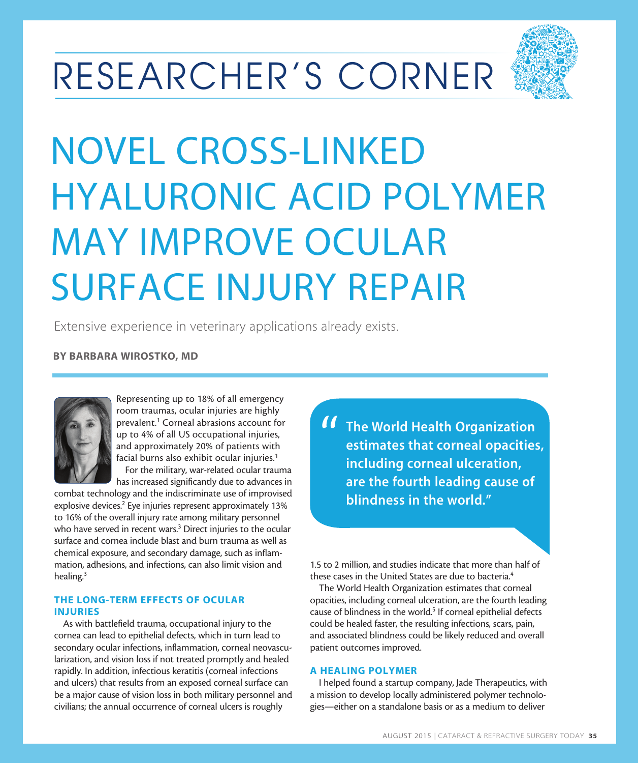# RESEARCHER'S CORNER



# NOVEL CROSS-LINKED HYALURONIC ACID POLYMER MAY IMPROVE OCULAR SURFACE INJURY REPAIR

Extensive experience in veterinary applications already exists.

## BY BARBARA WIROSTKO, MD



Representing up to 18% of all emergency room traumas, ocular injuries are highly prevalent.<sup>1</sup> Corneal abrasions account for up to 4% of all US occupational injuries, and approximately 20% of patients with facial burns also exhibit ocular injuries.<sup>1</sup> For the military, war-related ocular trauma

has increased significantly due to advances in

combat technology and the indiscriminate use of improvised explosive devices.<sup>2</sup> Eye injuries represent approximately 13% to 16% of the overall injury rate among military personnel who have served in recent wars.<sup>3</sup> Direct injuries to the ocular surface and cornea include blast and burn trauma as well as chemical exposure, and secondary damage, such as inflammation, adhesions, and infections, can also limit vision and healing.3

#### THE LONG-TERM EFFECTS OF OCULAR INJURIES

As with battlefield trauma, occupational injury to the cornea can lead to epithelial defects, which in turn lead to secondary ocular infections, inflammation, corneal neovascularization, and vision loss if not treated promptly and healed rapidly. In addition, infectious keratitis (corneal infections and ulcers) that results from an exposed corneal surface can be a major cause of vision loss in both military personnel and civilians; the annual occurrence of corneal ulcers is roughly

The World Health Organization estimates that corneal opacities, including corneal ulceration, are the fourth leading cause of blindness in the world." "

1.5 to 2 million, and studies indicate that more than half of these cases in the United States are due to bacteria.<sup>4</sup>

The World Health Organization estimates that corneal opacities, including corneal ulceration, are the fourth leading cause of blindness in the world.<sup>5</sup> If corneal epithelial defects could be healed faster, the resulting infections, scars, pain, and associated blindness could be likely reduced and overall patient outcomes improved.

### A HEALING POLYMER

I helped found a startup company, Jade Therapeutics, with a mission to develop locally administered polymer technologies—either on a standalone basis or as a medium to deliver